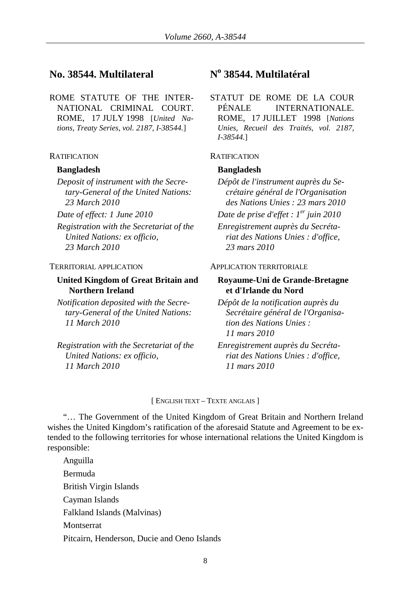# **No. 38544. Multilateral No 38544. Multilatéral**

ROME STATUTE OF THE INTER-NATIONAL CRIMINAL COURT. ROME, 17 JULY 1998 [*United Nations, Treaty Series, vol. 2187, I-38544.*]

### RATIFICATION RATIFICATION

### **Bangladesh Bangladesh**

*Deposit of instrument with the Secretary-General of the United Nations: 23 March 2010*

*Registration with the Secretariat of the United Nations: ex officio, 23 March 2010*

## **United Kingdom of Great Britain and Northern Ireland**

*Notification deposited with the Secretary-General of the United Nations: 11 March 2010*

*Registration with the Secretariat of the United Nations: ex officio, 11 March 2010*

STATUT DE ROME DE LA COUR PÉNALE INTERNATIONALE. ROME, 17 JUILLET 1998 [*Nations Unies, Recueil des Traités, vol. 2187, I-38544.*]

- *Dépôt de l'instrument auprès du Secrétaire général de l'Organisation des Nations Unies : 23 mars 2010*
- *Date of effect: 1 June 2010 Date de prise d'effet : 1er juin 2010*

*Enregistrement auprès du Secrétariat des Nations Unies : d'office, 23 mars 2010*

### TERRITORIAL APPLICATION APPLICATION TERRITORIALE

### **Royaume-Uni de Grande-Bretagne et d'Irlande du Nord**

*Dépôt de la notification auprès du Secrétaire général de l'Organisation des Nations Unies : 11 mars 2010*

*Enregistrement auprès du Secrétariat des Nations Unies : d'office, 11 mars 2010*

### [ ENGLISH TEXT – TEXTE ANGLAIS ]

"… The Government of the United Kingdom of Great Britain and Northern Ireland wishes the United Kingdom's ratification of the aforesaid Statute and Agreement to be extended to the following territories for whose international relations the United Kingdom is responsible:

Anguilla Bermuda British Virgin Islands Cayman Islands Falkland Islands (Malvinas) Montserrat Pitcairn, Henderson, Ducie and Oeno Islands